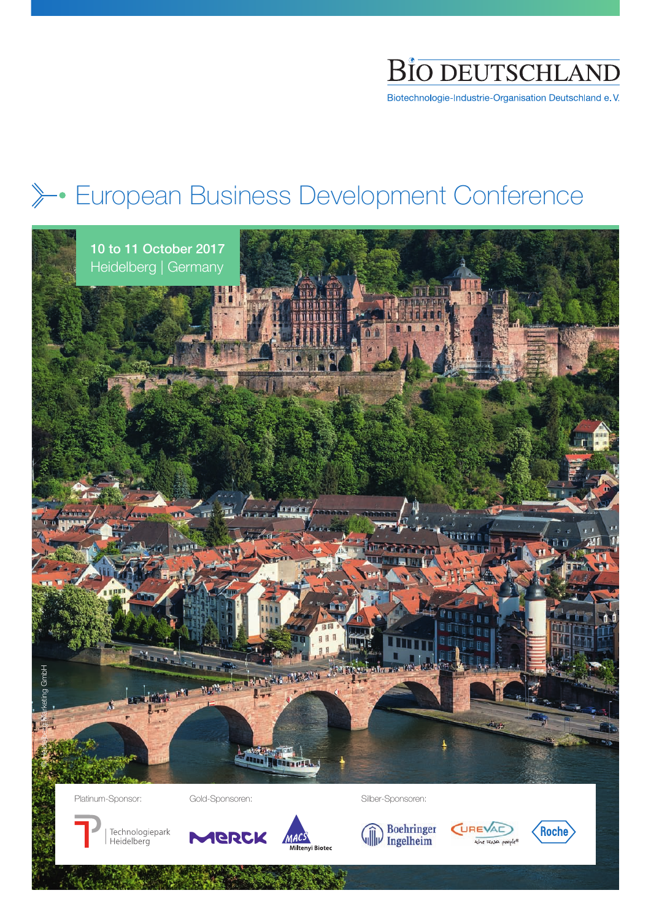

Biotechnologie-Industrie-Organisation Deutschland e.V.

## **European Business Development Conference**